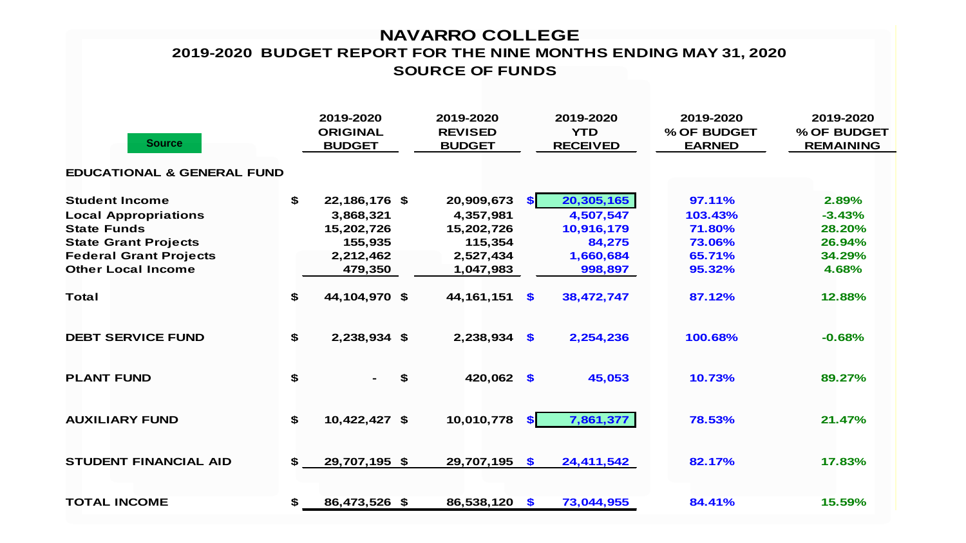## **NAVARRO COLLEGE SOURCE OF FUNDS 2019-2020 BUDGET REPORT FOR THE NINE MONTHS ENDING MAY 31, 2020**

| <b>Source</b>                         |    | 2019-2020<br><b>ORIGINAL</b><br><b>BUDGET</b> |    | 2019-2020<br><b>REVISED</b><br><b>BUDGET</b> |               | 2019-2020<br><b>YTD</b><br><b>RECEIVED</b> | 2019-2020<br>% OF BUDGET<br><b>EARNED</b> | 2019-2020<br>% OF BUDGET<br><b>REMAINING</b> |  |  |  |  |
|---------------------------------------|----|-----------------------------------------------|----|----------------------------------------------|---------------|--------------------------------------------|-------------------------------------------|----------------------------------------------|--|--|--|--|
| <b>EDUCATIONAL &amp; GENERAL FUND</b> |    |                                               |    |                                              |               |                                            |                                           |                                              |  |  |  |  |
| <b>Student Income</b>                 | \$ | 22,186,176 \$                                 |    | 20,909,673                                   | SI.           | 20,305,165                                 | 97.11%                                    | 2.89%                                        |  |  |  |  |
| <b>Local Appropriations</b>           |    | 3,868,321                                     |    | 4,357,981                                    |               | 4,507,547                                  | 103.43%                                   | $-3.43%$                                     |  |  |  |  |
| <b>State Funds</b>                    |    | 15,202,726                                    |    | 15,202,726                                   |               | 10,916,179                                 | 71.80%                                    | 28.20%                                       |  |  |  |  |
| <b>State Grant Projects</b>           |    | 155,935                                       |    | 115,354                                      |               | 84,275                                     | 73.06%                                    | 26.94%                                       |  |  |  |  |
| <b>Federal Grant Projects</b>         |    | 2,212,462                                     |    | 2,527,434                                    |               | 1,660,684                                  | 65.71%                                    | 34.29%                                       |  |  |  |  |
| <b>Other Local Income</b>             |    | 479,350                                       |    | 1,047,983                                    |               | 998,897                                    | 95.32%                                    | 4.68%                                        |  |  |  |  |
| <b>Total</b>                          | \$ | 44,104,970 \$                                 |    | 44, 161, 151                                 | $\mathbf{s}$  | 38,472,747                                 | 87.12%                                    | 12.88%                                       |  |  |  |  |
| <b>DEBT SERVICE FUND</b>              | \$ | 2,238,934 \$                                  |    | $2,238,934$ \$                               |               | 2,254,236                                  | 100.68%                                   | $-0.68%$                                     |  |  |  |  |
| <b>PLANT FUND</b>                     | \$ | Ξ.                                            | \$ | 420,062 \$                                   |               | 45,053                                     | 10.73%                                    | 89.27%                                       |  |  |  |  |
| <b>AUXILIARY FUND</b>                 | \$ | 10,422,427 \$                                 |    | 10,010,778                                   | <b>SI</b>     | 7,861,377                                  | 78.53%                                    | 21.47%                                       |  |  |  |  |
| <b>STUDENT FINANCIAL AID</b>          | \$ | 29,707,195 \$                                 |    | 29,707,195 \$                                |               | 24,411,542                                 | 82.17%                                    | 17.83%                                       |  |  |  |  |
| <b>TOTAL INCOME</b>                   | \$ | 86,473,526 \$                                 |    | 86,538,120                                   | $\mathbf{\$}$ | 73,044,955                                 | 84.41%                                    | 15.59%                                       |  |  |  |  |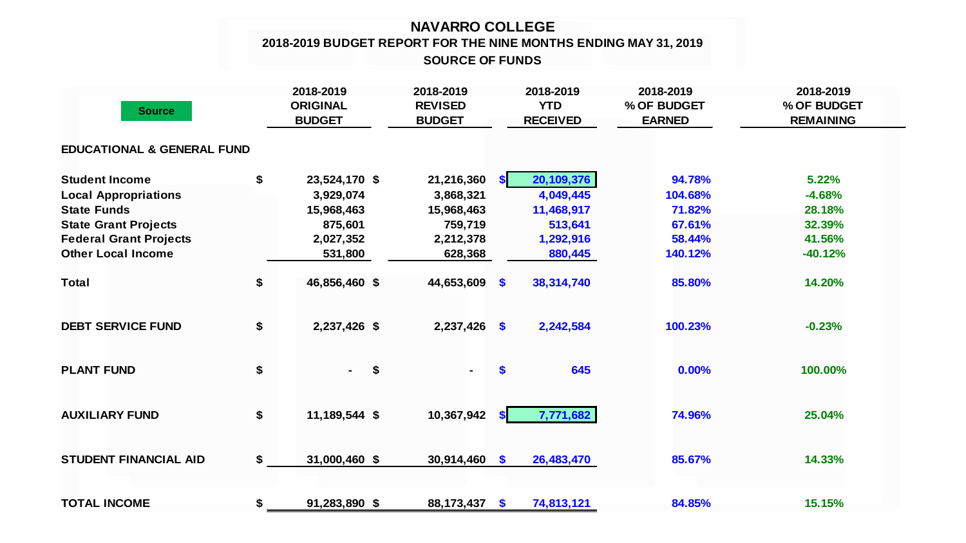## **NAVARRO COLLEGE 2018-2019 BUDGET REPORT FOR THE NINE MONTHS ENDING MAY 31, 2019 SOURCE OF FUNDS**

| <b>Source</b>                         | 2018-2019<br><b>ORIGINAL</b><br><b>BUDGET</b> |               | 2018-2019<br><b>REVISED</b><br><b>BUDGET</b> |              | 2018-2019<br><b>YTD</b><br><b>RECEIVED</b> | 2018-2019<br>% OF BUDGET<br><b>EARNED</b> | 2018-2019<br>% OF BUDGET<br><b>REMAINING</b> |  |
|---------------------------------------|-----------------------------------------------|---------------|----------------------------------------------|--------------|--------------------------------------------|-------------------------------------------|----------------------------------------------|--|
| <b>EDUCATIONAL &amp; GENERAL FUND</b> |                                               |               |                                              |              |                                            |                                           |                                              |  |
| <b>Student Income</b>                 | \$                                            | 23,524,170 \$ | 21,216,360                                   | <b>SI</b>    | 20,109,376                                 | 94.78%                                    | 5.22%                                        |  |
| <b>Local Appropriations</b>           |                                               | 3,929,074     | 3,868,321                                    |              | 4,049,445                                  | 104.68%                                   | $-4.68%$                                     |  |
| <b>State Funds</b>                    |                                               | 15,968,463    | 15,968,463                                   |              | 11,468,917                                 | 71.82%                                    | 28.18%                                       |  |
| <b>State Grant Projects</b>           |                                               | 875,601       | 759,719                                      |              | 513,641                                    | 67.61%                                    | 32.39%                                       |  |
| <b>Federal Grant Projects</b>         |                                               | 2,027,352     | 2,212,378                                    |              | 1,292,916                                  | 58.44%                                    | 41.56%                                       |  |
| <b>Other Local Income</b>             |                                               | 531,800       | 628,368                                      |              | 880,445                                    | 140.12%                                   | $-40.12%$                                    |  |
| <b>Total</b>                          | \$                                            | 46,856,460 \$ | 44,653,609                                   | <b>S</b>     | 38,314,740                                 | 85.80%                                    | 14.20%                                       |  |
| <b>DEBT SERVICE FUND</b>              | \$                                            | 2,237,426 \$  | $2,237,426$ \$                               |              | 2,242,584                                  | 100.23%                                   | $-0.23%$                                     |  |
| <b>PLANT FUND</b>                     | \$                                            | \$<br>$\sim$  | $\blacksquare$                               | \$           | 645                                        | 0.00%                                     | 100.00%                                      |  |
| <b>AUXILIARY FUND</b>                 | \$                                            | 11,189,544 \$ | 10,367,942                                   | <b>SI</b>    | 7,771,682                                  | 74.96%                                    | 25.04%                                       |  |
| <b>STUDENT FINANCIAL AID</b>          | \$                                            | 31,000,460 \$ | $30,914,460$ \$                              |              | 26,483,470                                 | 85.67%                                    | 14.33%                                       |  |
| <b>TOTAL INCOME</b>                   | \$                                            | 91,283,890 \$ | 88, 173, 437                                 | $\mathbf{s}$ | 74,813,121                                 | 84.85%                                    | 15.15%                                       |  |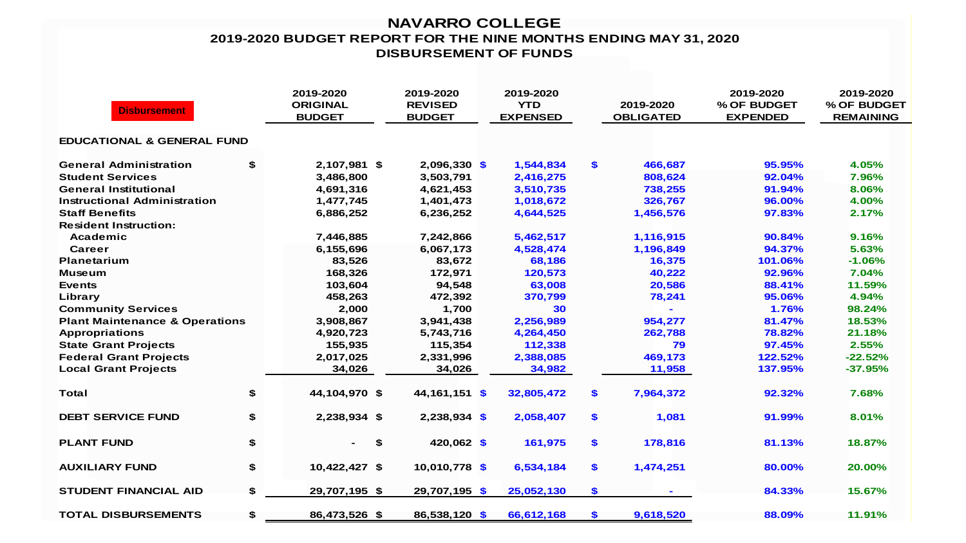## **NAVARRO COLLEGE 2019-2020 BUDGET REPORT FOR THE NINE MONTHS ENDING MAY 31, 2020 DISBURSEMENT OF FUNDS**

| <b>Disbursement</b>                       | 2019-2020<br><b>ORIGINAL</b><br><b>BUDGET</b> |               | 2019-2020<br><b>REVISED</b><br><b>BUDGET</b> | 2019-2020<br><b>YTD</b><br><b>EXPENSED</b> |     | 2019-2020<br><b>OBLIGATED</b> | 2019-2020<br>% OF BUDGET<br><b>EXPENDED</b> | 2019-2020<br>% OF BUDGET<br><b>REMAINING</b> |
|-------------------------------------------|-----------------------------------------------|---------------|----------------------------------------------|--------------------------------------------|-----|-------------------------------|---------------------------------------------|----------------------------------------------|
| <b>EDUCATIONAL &amp; GENERAL FUND</b>     |                                               |               |                                              |                                            |     |                               |                                             |                                              |
| <b>General Administration</b>             | \$                                            | 2,107,981 \$  | 2,096,330 \$                                 | 1,544,834                                  | \$  | 466,687                       | 95.95%                                      | 4.05%                                        |
| <b>Student Services</b>                   |                                               | 3,486,800     | 3,503,791                                    | 2,416,275                                  |     | 808,624                       | 92.04%                                      | 7.96%                                        |
| <b>General Institutional</b>              |                                               | 4,691,316     | 4,621,453                                    | 3,510,735                                  |     | 738,255                       | 91.94%                                      | 8.06%                                        |
| <b>Instructional Administration</b>       |                                               | 1,477,745     | 1,401,473                                    | 1,018,672                                  |     | 326,767                       | 96.00%                                      | 4.00%                                        |
| <b>Staff Benefits</b>                     |                                               | 6,886,252     | 6,236,252                                    | 4,644,525                                  |     | 1,456,576                     | 97.83%                                      | 2.17%                                        |
| <b>Resident Instruction:</b>              |                                               |               |                                              |                                            |     |                               |                                             |                                              |
| Academic                                  |                                               | 7,446,885     | 7,242,866                                    | 5,462,517                                  |     | 1,116,915                     | 90.84%                                      | 9.16%                                        |
| Career                                    |                                               | 6,155,696     | 6,067,173                                    | 4,528,474                                  |     | 1,196,849                     | 94.37%                                      | 5.63%                                        |
| Planetarium                               |                                               | 83,526        | 83,672                                       | 68,186                                     |     | 16,375                        | 101.06%                                     | $-1.06%$                                     |
| <b>Museum</b>                             |                                               | 168,326       | 172,971                                      | 120,573                                    |     | 40,222                        | 92.96%                                      | 7.04%                                        |
| <b>Events</b>                             |                                               | 103,604       | 94,548                                       | 63,008                                     |     | 20,586                        | 88.41%                                      | 11.59%                                       |
| Library                                   |                                               | 458,263       | 472,392                                      | 370,799                                    |     | 78,241                        | 95.06%                                      | 4.94%                                        |
| <b>Community Services</b>                 |                                               | 2,000         | 1,700                                        | 30                                         |     |                               | 1.76%                                       | 98.24%                                       |
| <b>Plant Maintenance &amp; Operations</b> |                                               | 3,908,867     | 3,941,438                                    | 2,256,989                                  |     | 954,277                       | 81.47%                                      | 18.53%                                       |
| <b>Appropriations</b>                     |                                               | 4,920,723     | 5,743,716                                    | 4,264,450                                  |     | 262,788                       | 78.82%                                      | 21.18%                                       |
| <b>State Grant Projects</b>               |                                               | 155,935       | 115,354                                      | 112,338                                    |     | 79                            | 97.45%                                      | 2.55%                                        |
| <b>Federal Grant Projects</b>             |                                               | 2,017,025     | 2,331,996                                    | 2,388,085                                  |     | 469,173                       | 122.52%                                     | $-22.52%$                                    |
| <b>Local Grant Projects</b>               |                                               | 34,026        | 34,026                                       | 34,982                                     |     | 11,958                        | 137.95%                                     | $-37.95%$                                    |
| <b>Total</b>                              | \$                                            | 44,104,970 \$ | 44, 161, 151 \$                              | 32,805,472                                 | \$  | 7,964,372                     | 92.32%                                      | 7.68%                                        |
| <b>DEBT SERVICE FUND</b>                  | \$                                            | 2,238,934 \$  | $2,238,934$ \$                               | 2,058,407                                  | \$  | 1,081                         | 91.99%                                      | 8.01%                                        |
| <b>PLANT FUND</b>                         | \$                                            | \$            | 420,062 \$                                   | 161,975                                    | \$  | 178,816                       | 81.13%                                      | 18.87%                                       |
| <b>AUXILIARY FUND</b>                     | \$                                            | 10,422,427 \$ | 10,010,778 \$                                | 6,534,184                                  | \$  | 1,474,251                     | 80.00%                                      | 20.00%                                       |
| <b>STUDENT FINANCIAL AID</b>              | \$                                            | 29,707,195 \$ | 29,707,195 \$                                | 25,052,130                                 | \$  |                               | 84.33%                                      | 15.67%                                       |
| <b>TOTAL DISBURSEMENTS</b>                | \$                                            | 86,473,526 \$ | 86,538,120 \$                                | 66,612,168                                 | \$. | 9,618,520                     | 88.09%                                      | 11.91%                                       |